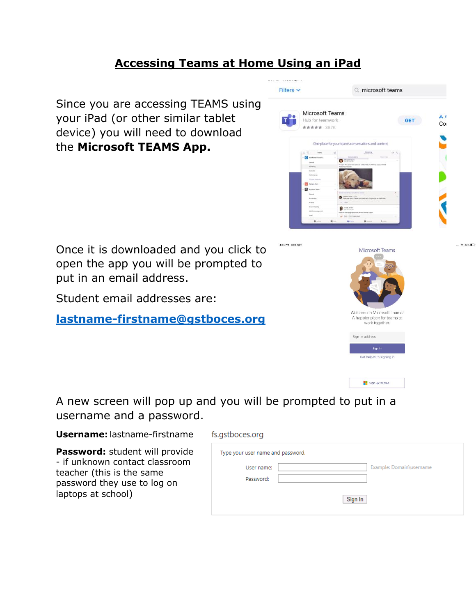## **Accessing Teams at Home Using an iPad**

4:34 PM Wed Apr 1

Since you are accessing TEAMS using your iPad (or other similar tablet device) you will need to download the **Microsoft TEAMS App.**

Once it is downloaded and you click to open the app you will be prompted to put in an email address.

Student email addresses are:

**[lastname-firstname@gstboces.org](mailto:lastname-firstname@gstboces.org)**





A new screen will pop up and you will be prompted to put in a username and a password.

**Username:** lastname-firstname

**Password:** student will provide - if unknown contact classroom teacher (this is the same password they use to log on laptops at school)

| Type your user name and password.      |
|----------------------------------------|
| Example: Domain\username<br>User name: |
| Password:                              |
| Sign In                                |